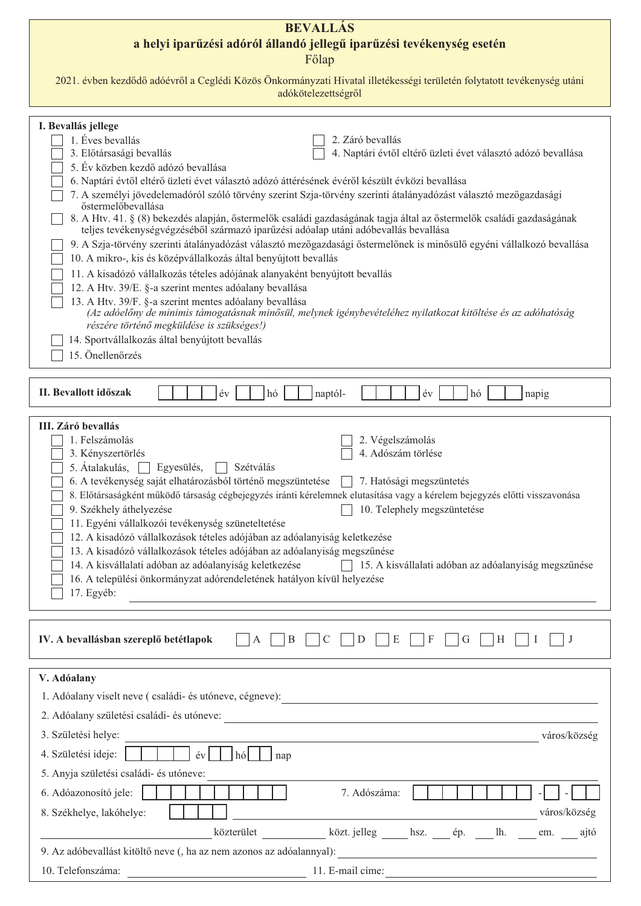## **BEVALLÁS** a helyi iparűzési adóról állandó jellegű iparűzési tevékenység esetén Főlap

| 2021. évben kezdődő adóévről a Ceglédi Közös Önkormányzati Hivatal illetékességi területén folytatott tevékenység utáni |
|-------------------------------------------------------------------------------------------------------------------------|
| adókötelezettségről                                                                                                     |

| I. Bevallás jellege<br>1. Éves bevallás<br>2. Záró bevallás                                                                                                                                                 |
|-------------------------------------------------------------------------------------------------------------------------------------------------------------------------------------------------------------|
| 3. Előtársasági bevallás<br>4. Naptári évtől eltérő üzleti évet választó adózó bevallása                                                                                                                    |
| 5. Év közben kezdő adózó bevallása                                                                                                                                                                          |
| 6. Naptári évtől eltérő üzleti évet választó adózó áttérésének évéről készült évközi bevallása                                                                                                              |
| 7. A személyi jövedelemadóról szóló törvény szerint Szja-törvény szerinti átalányadózást választó mezőgazdasági<br>őstermelőbevallása                                                                       |
| 8. A Htv. 41. § (8) bekezdés alapján, őstermelők családi gazdaságának tagja által az őstermelők családi gazdaságának<br>teljes tevékenységvégzéséből származó iparűzési adóalap utáni adóbevallás bevallása |
| 9. A Szja-törvény szerinti átalányadózást választó mezőgazdasági őstermelőnek is minősülő egyéni vállalkozó bevallása<br>10. A mikro-, kis és középvállalkozás által benyújtott bevallás                    |
| 11. A kisadózó vállalkozás tételes adójának alanyaként benyújtott bevallás                                                                                                                                  |
| 12. A Htv. 39/E. §-a szerint mentes adóalany bevallása                                                                                                                                                      |
| 13. A Htv. 39/F. §-a szerint mentes adóalany bevallása                                                                                                                                                      |
| (Az adóelőny de minimis támogatásnak minősül, melynek igénybevételéhez nyilatkozat kitöltése és az adóhatóság<br>részére történő megküldése is szükséges!)                                                  |
| 14. Sportvállalkozás által benyújtott bevallás                                                                                                                                                              |
| 15. Önellenőrzés                                                                                                                                                                                            |
|                                                                                                                                                                                                             |
|                                                                                                                                                                                                             |
| II. Bevallott időszak<br>$\acute{\text{e}}\text{v}$<br>hó<br>hó<br>naptól-<br>év<br>napig                                                                                                                   |
|                                                                                                                                                                                                             |
| III. Záró bevallás<br>1. Felszámolás                                                                                                                                                                        |
| 2. Végelszámolás<br>4. Adószám törlése<br>3. Kényszertörlés                                                                                                                                                 |
| 5. Átalakulás,<br>Szétválás<br>Egyesülés,                                                                                                                                                                   |
| 6. A tevékenység saját elhatározásból történő megszüntetése<br>7. Hatósági megszüntetés                                                                                                                     |
| 8. Előtársaságként működő társaság cégbejegyzés iránti kérelemnek elutasítása vagy a kérelem bejegyzés előtti visszavonása                                                                                  |
| 9. Székhely áthelyezése<br>10. Telephely megszüntetése                                                                                                                                                      |
| 11. Egyéni vállalkozói tevékenység szüneteltetése                                                                                                                                                           |
| 12. A kisadózó vállalkozások tételes adójában az adóalanyiság keletkezése                                                                                                                                   |
| 13. A kisadózó vállalkozások tételes adójában az adóalanyiság megszűnése                                                                                                                                    |
| 14. A kisvállalati adóban az adóalanyiság keletkezése<br>15. A kisvállalati adóban az adóalanyiság megszűnése                                                                                               |
| 16. A települési önkormányzat adórendeletének hatályon kívül helyezése                                                                                                                                      |
| 17. Egyéb:                                                                                                                                                                                                  |
|                                                                                                                                                                                                             |
|                                                                                                                                                                                                             |
| IV. A bevallásban szereplő betétlapok<br>E<br>B<br>A<br>C<br>D<br>F<br>G<br>Н<br>-1<br>J                                                                                                                    |
|                                                                                                                                                                                                             |
| V. Adóalany                                                                                                                                                                                                 |
| 1. Adóalany viselt neve (családi- és utóneve, cégneve):                                                                                                                                                     |
| 2. Adóalany születési családi- és utóneve:                                                                                                                                                                  |
| 3. Születési helye:<br>város/község                                                                                                                                                                         |
| 4. Születési ideje:<br>év<br>$h\acute{o}$<br>nap                                                                                                                                                            |
| 5. Anyja születési családi- és utóneve:                                                                                                                                                                     |
| 6. Adóazonosító jele:<br>7. Adószáma:                                                                                                                                                                       |
| város/község<br>8. Székhelye, lakóhelye:                                                                                                                                                                    |
| közterület<br>közt. jelleg<br>lh.<br>hsz.<br>ép.<br>em.<br>ajtó                                                                                                                                             |

|                                                                      | AUZIVI UIVI | $NULU, JULU, B$ 1132. | UD. |  |
|----------------------------------------------------------------------|-------------|-----------------------|-----|--|
| 9. Az adóbevallást kitöltő neve (, ha az nem azonos az adóalannyal): |             |                       |     |  |
| 10. Telefonszáma:                                                    |             | 11. E-mail címe:      |     |  |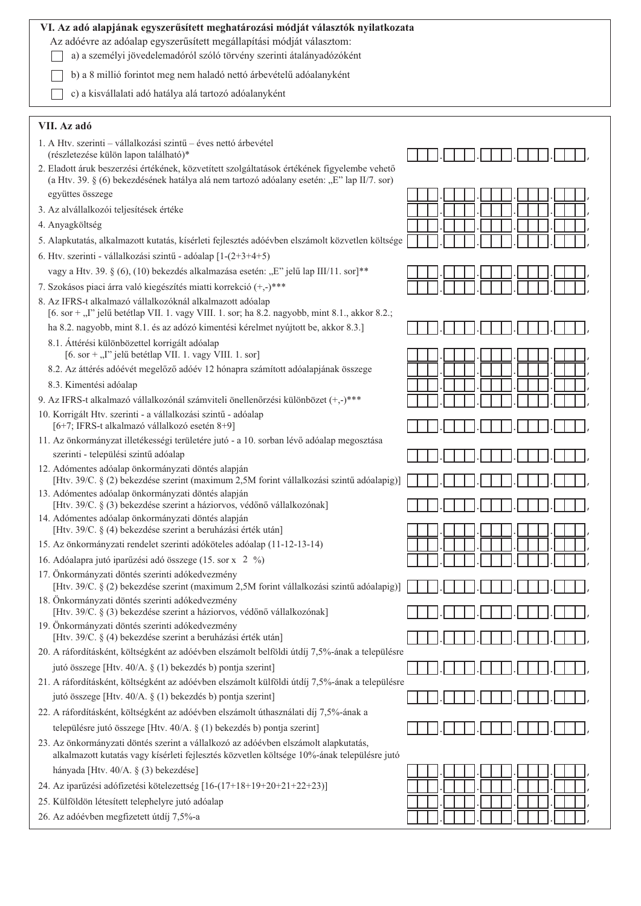| VI. Az adó alapjának egyszerűsített meghatározási módját választók nyilatkozata                                                                                                            |  |
|--------------------------------------------------------------------------------------------------------------------------------------------------------------------------------------------|--|
| Az adóévre az adóalap egyszerűsített megállapítási módját választom:<br>a) a személyi jövedelemadóról szóló törvény szerinti átalányadózóként                                              |  |
| b) a 8 millió forintot meg nem haladó nettó árbevételű adóalanyként                                                                                                                        |  |
| c) a kisvállalati adó hatálya alá tartozó adóalanyként                                                                                                                                     |  |
| VII. Az adó                                                                                                                                                                                |  |
| 1. A Htv. szerinti – vállalkozási szintű – éves nettó árbevétel                                                                                                                            |  |
| (részletezése külön lapon található)*                                                                                                                                                      |  |
| 2. Eladott áruk beszerzési értékének, közvetített szolgáltatások értékének figyelembe vehető<br>(a Htv. 39. § (6) bekezdésének hatálya alá nem tartozó adóalany esetén: "E" lap II/7. sor) |  |
| együttes összege                                                                                                                                                                           |  |
| 3. Az alvállalkozói teljesítések értéke                                                                                                                                                    |  |
| 4. Anyagköltség                                                                                                                                                                            |  |
| 5. Alapkutatás, alkalmazott kutatás, kísérleti fejlesztés adóévben elszámolt közvetlen költsége                                                                                            |  |
| 6. Htv. szerinti - vállalkozási szintű - adóalap [1-(2+3+4+5)                                                                                                                              |  |
| vagy a Htv. 39. § (6), (10) bekezdés alkalmazása esetén: "E" jelű lap III/11. sor]**                                                                                                       |  |
| 7. Szokásos piaci árra való kiegészítés miatti korrekció (+,-)***                                                                                                                          |  |
| 8. Az IFRS-t alkalmazó vállalkozóknál alkalmazott adóalap<br>[6. sor + ,,I" jelű betétlap VII. 1. vagy VIII. 1. sor; ha 8.2. nagyobb, mint 8.1., akkor 8.2.;                               |  |
| ha 8.2. nagyobb, mint 8.1. és az adózó kimentési kérelmet nyújtott be, akkor 8.3.]                                                                                                         |  |
| 8.1. Áttérési különbözettel korrigált adóalap<br>$[6. sor +$ "I" jelű betétlap VII. 1. vagy VIII. 1. sor]                                                                                  |  |
| 8.2. Az áttérés adóévét megelőző adóév 12 hónapra számított adóalapjának összege                                                                                                           |  |
| 8.3. Kimentési adóalap                                                                                                                                                                     |  |
| 9. Az IFRS-t alkalmazó vállalkozónál számviteli önellenőrzési különbözet (+,-)***                                                                                                          |  |
| 10. Korrigált Htv. szerinti - a vállalkozási szintű - adóalap<br>[6+7; IFRS-t alkalmazó vállalkozó esetén 8+9]                                                                             |  |
| 11. Az önkormányzat illetékességi területére jutó - a 10. sorban lévő adóalap megosztása                                                                                                   |  |
| szerinti - települési szintű adóalap                                                                                                                                                       |  |
| 12. Adómentes adóalap önkormányzati döntés alapján<br>[Htv. 39/C. § (2) bekezdése szerint (maximum 2,5M forint vállalkozási szintű adóalapig)]                                             |  |
| 13. Adómentes adóalap önkormányzati döntés alapján<br>[Htv. 39/C. $\S$ (3) bekezdése szerint a háziorvos, védőnő vállalkozónak]                                                            |  |
| 14. Adómentes adóalap önkormányzati döntés alapján                                                                                                                                         |  |
| [Htv. 39/C. § (4) bekezdése szerint a beruházási érték után]                                                                                                                               |  |
| 15. Az önkormányzati rendelet szerinti adóköteles adóalap (11-12-13-14)<br>16. Adóalapra jutó iparűzési adó összege (15. sor x 2 %)                                                        |  |
| 17. Önkormányzati döntés szerinti adókedvezmény                                                                                                                                            |  |
| [Htv. 39/C. § (2) bekezdése szerint (maximum 2,5M forint vállalkozási szintű adóalapig)]<br>18. Önkormányzati döntés szerinti adókedvezmény                                                |  |
| [Htv. 39/C. § (3) bekezdése szerint a háziorvos, védőnő vállalkozónak]                                                                                                                     |  |
| 19. Önkormányzati döntés szerinti adókedvezmény<br>[Htv. 39/C. § (4) bekezdése szerint a beruházási érték után]                                                                            |  |
| 20. A ráfordításként, költségként az adóévben elszámolt belföldi útdíj 7,5%-ának a településre                                                                                             |  |
| jutó összege [Htv. 40/A. § (1) bekezdés b) pontja szerint]                                                                                                                                 |  |
| 21. A ráfordításként, költségként az adóévben elszámolt külföldi útdíj 7,5%-ának a településre                                                                                             |  |
| jutó összege [Htv. 40/A. § (1) bekezdés b) pontja szerint]                                                                                                                                 |  |
| 22. A ráfordításként, költségként az adóévben elszámolt úthasználati díj 7,5%-ának a                                                                                                       |  |
| településre jutó összege [Htv. 40/A. § (1) bekezdés b) pontja szerint]                                                                                                                     |  |
| 23. Az önkormányzati döntés szerint a vállalkozó az adóévben elszámolt alapkutatás,<br>alkalmazott kutatás vagy kísérleti fejlesztés közvetlen költsége 10%-ának településre jutó          |  |
| hányada [Htv. 40/A. § (3) bekezdése]                                                                                                                                                       |  |
| 24. Az iparűzési adófizetési kötelezettség [16-(17+18+19+20+21+22+23)]                                                                                                                     |  |
| 25. Külföldön létesített telephelyre jutó adóalap                                                                                                                                          |  |
| 26. Az adóévben megfizetett útdíj 7,5%-a                                                                                                                                                   |  |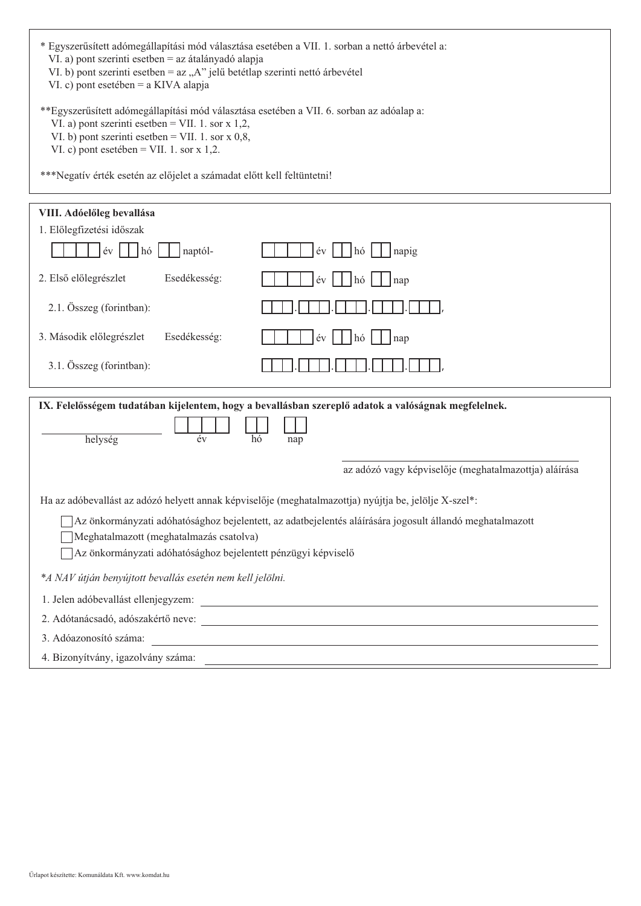| * Egyszerűsített adómegállapítási mód választása esetében a VII. 1. sorban a nettó árbevétel a:<br>VI. a) pont szerinti esetben = az átalányadó alapja<br>VI. b) pont szerinti esetben = az "A" jelű betétlap szerinti nettó árbevétel<br>VI. c) pont esetében = a KIVA alapja<br>**Egyszerűsített adómegállapítási mód választása esetében a VII. 6. sorban az adóalap a:<br>VI. a) pont szerinti esetben = VII. 1. sor $x$ 1,2,<br>VI. b) pont szerinti esetben = VII. 1. sor $x$ 0,8,<br>VI. c) pont esetében = VII. 1. sor $x$ 1,2.<br>***Negatív érték esetén az előjelet a számadat előtt kell feltüntetni! |
|-------------------------------------------------------------------------------------------------------------------------------------------------------------------------------------------------------------------------------------------------------------------------------------------------------------------------------------------------------------------------------------------------------------------------------------------------------------------------------------------------------------------------------------------------------------------------------------------------------------------|
|                                                                                                                                                                                                                                                                                                                                                                                                                                                                                                                                                                                                                   |
| VIII. Adóelőleg bevallása                                                                                                                                                                                                                                                                                                                                                                                                                                                                                                                                                                                         |
| 1. Előlegfizetési időszak                                                                                                                                                                                                                                                                                                                                                                                                                                                                                                                                                                                         |
| év<br>hó<br>naptól-<br>év<br>napig<br>hó                                                                                                                                                                                                                                                                                                                                                                                                                                                                                                                                                                          |
| Esedékesség:<br>2. Első előlegrészlet<br>év<br>nap<br>hó                                                                                                                                                                                                                                                                                                                                                                                                                                                                                                                                                          |
| 2.1. Összeg (forintban):                                                                                                                                                                                                                                                                                                                                                                                                                                                                                                                                                                                          |
| 3. Második előlegrészlet<br>Esedékesség:<br>év<br>hó<br>nap                                                                                                                                                                                                                                                                                                                                                                                                                                                                                                                                                       |
| 3.1. Összeg (forintban):                                                                                                                                                                                                                                                                                                                                                                                                                                                                                                                                                                                          |
| IX. Felelősségem tudatában kijelentem, hogy a bevallásban szereplő adatok a valóságnak megfelelnek.                                                                                                                                                                                                                                                                                                                                                                                                                                                                                                               |
| helység<br>év<br>hó<br>nap                                                                                                                                                                                                                                                                                                                                                                                                                                                                                                                                                                                        |
| az adózó vagy képviselője (meghatalmazottja) aláírása                                                                                                                                                                                                                                                                                                                                                                                                                                                                                                                                                             |
| Ha az adóbevallást az adózó helyett annak képviselője (meghatalmazottja) nyújtja be, jelölje X-szel*:                                                                                                                                                                                                                                                                                                                                                                                                                                                                                                             |
| Az önkormányzati adóhatósághoz bejelentett, az adatbejelentés aláírására jogosult állandó meghatalmazott<br>Meghatalmazott (meghatalmazás csatolva)<br>Az önkormányzati adóhatósághoz bejelentett pénzügyi képviselő                                                                                                                                                                                                                                                                                                                                                                                              |
| *A NAV útján benyújtott bevallás esetén nem kell jelölni.                                                                                                                                                                                                                                                                                                                                                                                                                                                                                                                                                         |
| 1. Jelen adóbevallást ellenjegyzem:                                                                                                                                                                                                                                                                                                                                                                                                                                                                                                                                                                               |
| 2. Adótanácsadó, adószakértő neve:                                                                                                                                                                                                                                                                                                                                                                                                                                                                                                                                                                                |
| 3. Adóazonosító száma:<br><u> Andreas Andreas Andreas Andreas Andreas Andreas Andreas Andreas Andreas Andreas Andreas Andreas Andreas Andr</u>                                                                                                                                                                                                                                                                                                                                                                                                                                                                    |
| 4. Bizonyítvány, igazolvány száma:<br><u> Andreas Andreas Andreas Andreas Andreas Andreas Andreas Andreas Andreas Andreas Andreas Andreas Andreas Andr</u>                                                                                                                                                                                                                                                                                                                                                                                                                                                        |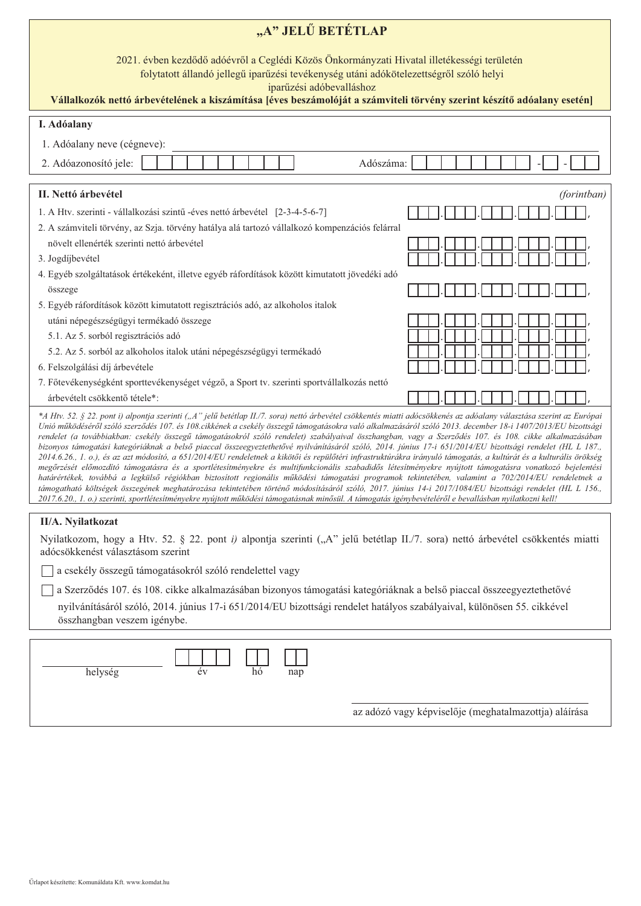| "A" JELŰ BETÉTLAP                                                                                                                                                                                                                                                                                                                                                                                                                                                                                                                                                                                                                                                                                                                                                                                                                                                                                                                                                                                                                                                                                                                                                                                                                                                                                                                                                                                                                                                     |  |  |  |  |  |  |  |
|-----------------------------------------------------------------------------------------------------------------------------------------------------------------------------------------------------------------------------------------------------------------------------------------------------------------------------------------------------------------------------------------------------------------------------------------------------------------------------------------------------------------------------------------------------------------------------------------------------------------------------------------------------------------------------------------------------------------------------------------------------------------------------------------------------------------------------------------------------------------------------------------------------------------------------------------------------------------------------------------------------------------------------------------------------------------------------------------------------------------------------------------------------------------------------------------------------------------------------------------------------------------------------------------------------------------------------------------------------------------------------------------------------------------------------------------------------------------------|--|--|--|--|--|--|--|
| 2021. évben kezdődő adóévről a Ceglédi Közös Önkormányzati Hivatal illetékességi területén<br>folytatott állandó jellegű iparűzési tevékenység utáni adókötelezettségről szóló helyi<br>iparűzési adóbevalláshoz<br>Vállalkozók nettó árbevételének a kiszámítása [éves beszámolóját a számviteli törvény szerint készítő adóalany esetén]                                                                                                                                                                                                                                                                                                                                                                                                                                                                                                                                                                                                                                                                                                                                                                                                                                                                                                                                                                                                                                                                                                                            |  |  |  |  |  |  |  |
| I. Adóalany                                                                                                                                                                                                                                                                                                                                                                                                                                                                                                                                                                                                                                                                                                                                                                                                                                                                                                                                                                                                                                                                                                                                                                                                                                                                                                                                                                                                                                                           |  |  |  |  |  |  |  |
| 1. Adóalany neve (cégneve):                                                                                                                                                                                                                                                                                                                                                                                                                                                                                                                                                                                                                                                                                                                                                                                                                                                                                                                                                                                                                                                                                                                                                                                                                                                                                                                                                                                                                                           |  |  |  |  |  |  |  |
| 2. Adóazonosító jele:<br>Adószáma:                                                                                                                                                                                                                                                                                                                                                                                                                                                                                                                                                                                                                                                                                                                                                                                                                                                                                                                                                                                                                                                                                                                                                                                                                                                                                                                                                                                                                                    |  |  |  |  |  |  |  |
| II. Nettó árbevétel<br>(forintban)                                                                                                                                                                                                                                                                                                                                                                                                                                                                                                                                                                                                                                                                                                                                                                                                                                                                                                                                                                                                                                                                                                                                                                                                                                                                                                                                                                                                                                    |  |  |  |  |  |  |  |
| 1. A Htv. szerinti - vállalkozási szintű -éves nettó árbevétel [2-3-4-5-6-7]<br>2. A számviteli törvény, az Szja. törvény hatálya alá tartozó vállalkozó kompenzációs felárral                                                                                                                                                                                                                                                                                                                                                                                                                                                                                                                                                                                                                                                                                                                                                                                                                                                                                                                                                                                                                                                                                                                                                                                                                                                                                        |  |  |  |  |  |  |  |
| növelt ellenérték szerinti nettó árbevétel<br>3. Jogdíjbevétel                                                                                                                                                                                                                                                                                                                                                                                                                                                                                                                                                                                                                                                                                                                                                                                                                                                                                                                                                                                                                                                                                                                                                                                                                                                                                                                                                                                                        |  |  |  |  |  |  |  |
| 4. Egyéb szolgáltatások értékeként, illetve egyéb ráfordítások között kimutatott jövedéki adó                                                                                                                                                                                                                                                                                                                                                                                                                                                                                                                                                                                                                                                                                                                                                                                                                                                                                                                                                                                                                                                                                                                                                                                                                                                                                                                                                                         |  |  |  |  |  |  |  |
| összege                                                                                                                                                                                                                                                                                                                                                                                                                                                                                                                                                                                                                                                                                                                                                                                                                                                                                                                                                                                                                                                                                                                                                                                                                                                                                                                                                                                                                                                               |  |  |  |  |  |  |  |
| 5. Egyéb ráfordítások között kimutatott regisztrációs adó, az alkoholos italok                                                                                                                                                                                                                                                                                                                                                                                                                                                                                                                                                                                                                                                                                                                                                                                                                                                                                                                                                                                                                                                                                                                                                                                                                                                                                                                                                                                        |  |  |  |  |  |  |  |
| utáni népegészségügyi termékadó összege                                                                                                                                                                                                                                                                                                                                                                                                                                                                                                                                                                                                                                                                                                                                                                                                                                                                                                                                                                                                                                                                                                                                                                                                                                                                                                                                                                                                                               |  |  |  |  |  |  |  |
| 5.1. Az 5. sorból regisztrációs adó                                                                                                                                                                                                                                                                                                                                                                                                                                                                                                                                                                                                                                                                                                                                                                                                                                                                                                                                                                                                                                                                                                                                                                                                                                                                                                                                                                                                                                   |  |  |  |  |  |  |  |
| 5.2. Az 5. sorból az alkoholos italok utáni népegészségügyi termékadó                                                                                                                                                                                                                                                                                                                                                                                                                                                                                                                                                                                                                                                                                                                                                                                                                                                                                                                                                                                                                                                                                                                                                                                                                                                                                                                                                                                                 |  |  |  |  |  |  |  |
| 6. Felszolgálási díj árbevétele<br>7. Főtevékenységként sporttevékenységet végző, a Sport tv. szerinti sportvállalkozás nettó                                                                                                                                                                                                                                                                                                                                                                                                                                                                                                                                                                                                                                                                                                                                                                                                                                                                                                                                                                                                                                                                                                                                                                                                                                                                                                                                         |  |  |  |  |  |  |  |
| árbevételt csökkentő tétele*:                                                                                                                                                                                                                                                                                                                                                                                                                                                                                                                                                                                                                                                                                                                                                                                                                                                                                                                                                                                                                                                                                                                                                                                                                                                                                                                                                                                                                                         |  |  |  |  |  |  |  |
| *A Htv. 52. § 22. pont i) alpontja szerinti ("A" jelű betétlap II./7. sora) nettó árbevétel csökkentés miatti adócsökkenés az adóalany választása szerint az Európai<br>Unió működéséről szóló szerződés 107. és 108.cikkének a csekély összegű támogatásokra való alkalmazásáról szóló 2013. december 18-i 1407/2013/EU bizottsági<br>rendelet (a továbbiakban: csekély összegű támogatásokról szóló rendelet) szabályaival összhangban, vagy a Szerződés 107. és 108. cikke alkalmazásában<br>bizonyos támogatási kategóriáknak a belső piaccal összeegyeztethetővé nyilvánításáról szóló, 2014. június 17-i 651/2014/EU bizottsági rendelet (HL L 187.,<br>2014.6.26., 1. o.), és az azt módosító, a 651/2014/EU rendeletnek a kikötői és repülőtéri infrastruktúrákra irányuló támogatás, a kultúrát és a kulturális örökség<br>megőrzését előmozdító támogatásra és a sportlétesítményekre és multifunkcionális szabadidős létesítményekre nyújtott támogatásra vonatkozó bejelentési<br>határértékek, továbbá a legkülső régiókban biztosított regionális működési támogatási programok tekintetében, valamint a 702/2014/EU rendeletnek a<br>támogatható költségek összegének meghatározása tekintetében történő módosításáról szóló, 2017. június 14-i 2017/1084/EU bizottsági rendelet (HL L 156.,<br>2017.6.20., 1. o.) szerinti, sportlétesítményekre nyújtott működési támogatásnak minősül. A támogatás igénybevételéről e bevallásban nyilatkozni kell! |  |  |  |  |  |  |  |
| II/A. Nyilatkozat                                                                                                                                                                                                                                                                                                                                                                                                                                                                                                                                                                                                                                                                                                                                                                                                                                                                                                                                                                                                                                                                                                                                                                                                                                                                                                                                                                                                                                                     |  |  |  |  |  |  |  |
| Nyilatkozom, hogy a Htv. 52. § 22. pont i) alpontja szerinti ("A" jelű betétlap II./7. sora) nettó árbevétel csökkentés miatti<br>adócsökkenést választásom szerint                                                                                                                                                                                                                                                                                                                                                                                                                                                                                                                                                                                                                                                                                                                                                                                                                                                                                                                                                                                                                                                                                                                                                                                                                                                                                                   |  |  |  |  |  |  |  |
| a csekély összegű támogatásokról szóló rendelettel vagy                                                                                                                                                                                                                                                                                                                                                                                                                                                                                                                                                                                                                                                                                                                                                                                                                                                                                                                                                                                                                                                                                                                                                                                                                                                                                                                                                                                                               |  |  |  |  |  |  |  |
| a Szerződés 107. és 108. cikke alkalmazásában bizonyos támogatási kategóriáknak a belső piaccal összeegyeztethetővé                                                                                                                                                                                                                                                                                                                                                                                                                                                                                                                                                                                                                                                                                                                                                                                                                                                                                                                                                                                                                                                                                                                                                                                                                                                                                                                                                   |  |  |  |  |  |  |  |
| nyilvánításáról szóló, 2014. június 17-i 651/2014/EU bizottsági rendelet hatályos szabályaival, különösen 55. cikkével<br>összhangban veszem igénybe.                                                                                                                                                                                                                                                                                                                                                                                                                                                                                                                                                                                                                                                                                                                                                                                                                                                                                                                                                                                                                                                                                                                                                                                                                                                                                                                 |  |  |  |  |  |  |  |
| helység<br>év<br>hó<br>nap                                                                                                                                                                                                                                                                                                                                                                                                                                                                                                                                                                                                                                                                                                                                                                                                                                                                                                                                                                                                                                                                                                                                                                                                                                                                                                                                                                                                                                            |  |  |  |  |  |  |  |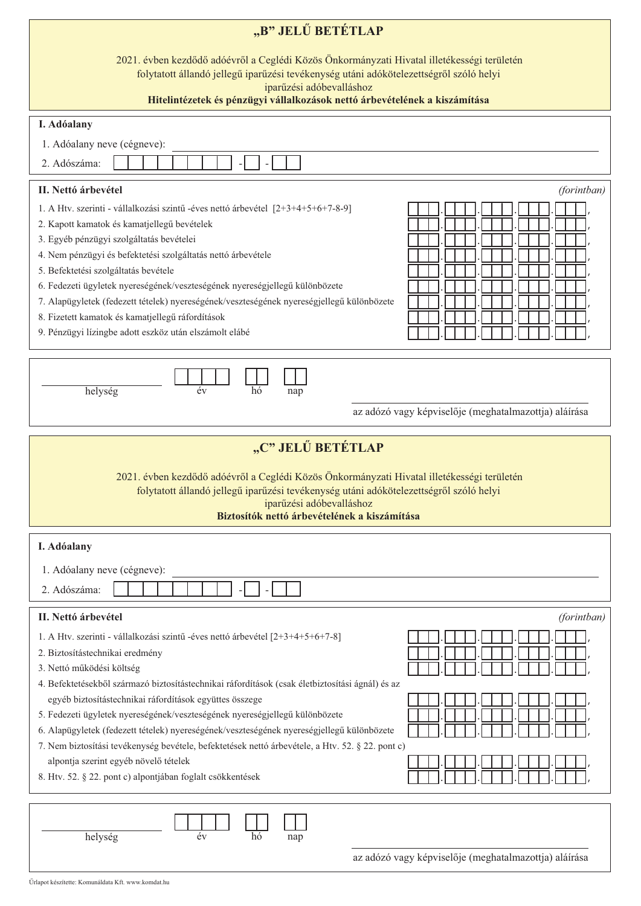| "B" JELŰ BETÉTLAP                                                                                                                                                                                                                                                                                                                                                                                                                                                                                                                                                             |
|-------------------------------------------------------------------------------------------------------------------------------------------------------------------------------------------------------------------------------------------------------------------------------------------------------------------------------------------------------------------------------------------------------------------------------------------------------------------------------------------------------------------------------------------------------------------------------|
| 2021. évben kezdődő adóévről a Ceglédi Közös Önkormányzati Hivatal illetékességi területén<br>folytatott állandó jellegű iparűzési tevékenység utáni adókötelezettségről szóló helyi<br>iparűzési adóbevalláshoz                                                                                                                                                                                                                                                                                                                                                              |
| Hitelintézetek és pénzügyi vállalkozások nettó árbevételének a kiszámítása                                                                                                                                                                                                                                                                                                                                                                                                                                                                                                    |
| I. Adóalany                                                                                                                                                                                                                                                                                                                                                                                                                                                                                                                                                                   |
| 1. Adóalany neve (cégneve):<br>2. Adószáma:                                                                                                                                                                                                                                                                                                                                                                                                                                                                                                                                   |
| II. Nettó árbevétel<br>(forintban)                                                                                                                                                                                                                                                                                                                                                                                                                                                                                                                                            |
| 1. A Htv. szerinti - vállalkozási szintű -éves nettó árbevétel [2+3+4+5+6+7-8-9]<br>2. Kapott kamatok és kamatjellegű bevételek<br>3. Egyéb pénzügyi szolgáltatás bevételei<br>4. Nem pénzügyi és befektetési szolgáltatás nettó árbevétele<br>5. Befektetési szolgáltatás bevétele<br>6. Fedezeti ügyletek nyereségének/veszteségének nyereségjellegű különbözete<br>7. Alapügyletek (fedezett tételek) nyereségének/veszteségének nyereségjellegű különbözete<br>8. Fizetett kamatok és kamatjellegű ráfordítások<br>9. Pénzügyi lízingbe adott eszköz után elszámolt elábé |
| év<br>helység<br>hó<br>nap<br>az adózó vagy képviselője (meghatalmazottja) aláírása                                                                                                                                                                                                                                                                                                                                                                                                                                                                                           |
| "C" JELŰ BETÉTLAP                                                                                                                                                                                                                                                                                                                                                                                                                                                                                                                                                             |
| 2021. évben kezdődő adóévről a Ceglédi Közös Önkormányzati Hivatal illetékességi területén<br>folytatott állandó jellegű iparűzési tevékenység utáni adókötelezettségről szóló helyi<br><b>Exercía de Estado de Estado de Estado de Estado de Estado de Estado de Estado de Estado de Estado de Estado d</b><br>Biztosítók nettó árbevételének a kiszámítása                                                                                                                                                                                                                  |
| I. Adóalany                                                                                                                                                                                                                                                                                                                                                                                                                                                                                                                                                                   |
| 1. Adóalany neve (cégneve):<br>2. Adószáma:                                                                                                                                                                                                                                                                                                                                                                                                                                                                                                                                   |
| II. Nettó árbevétel<br>(forintban)                                                                                                                                                                                                                                                                                                                                                                                                                                                                                                                                            |
| 1. A Htv. szerinti - vállalkozási szintű -éves nettó árbevétel [2+3+4+5+6+7-8]<br>2. Biztosítástechnikai eredmény<br>3. Nettó működési költség<br>4. Befektetésekből származó biztosítástechnikai ráfordítások (csak életbiztosítási ágnál) és az                                                                                                                                                                                                                                                                                                                             |
| egyéb biztosítástechnikai ráfordítások együttes összege<br>5. Fedezeti ügyletek nyereségének/veszteségének nyereségjellegű különbözete<br>6. Alapügyletek (fedezett tételek) nyereségének/veszteségének nyereségjellegű különbözete<br>7. Nem biztosítási tevékenység bevétele, befektetések nettó árbevétele, a Htv. 52. § 22. pont c)                                                                                                                                                                                                                                       |
| alpontja szerint egyéb növelő tételek<br>8. Htv. 52. § 22. pont c) alpontjában foglalt csökkentések                                                                                                                                                                                                                                                                                                                                                                                                                                                                           |
| helység<br>év<br>hó<br>nap<br>az adózó vagy képviselője (meghatalmazottja) aláírása                                                                                                                                                                                                                                                                                                                                                                                                                                                                                           |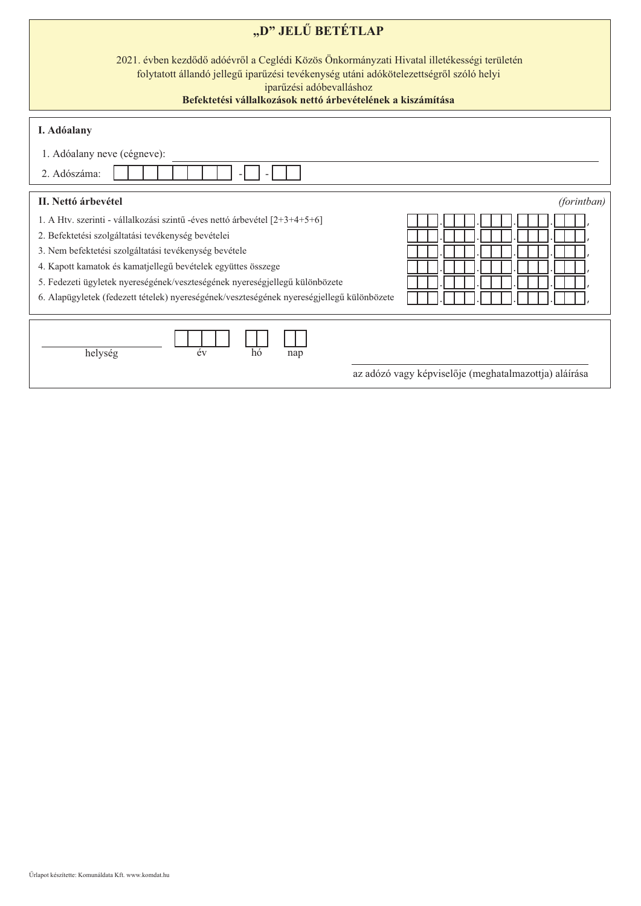| "D" JELŰ BETÉTLAP                                                                                                                                                                                                                                                                                                                                                                                                                     |
|---------------------------------------------------------------------------------------------------------------------------------------------------------------------------------------------------------------------------------------------------------------------------------------------------------------------------------------------------------------------------------------------------------------------------------------|
| 2021. évben kezdődő adóévről a Ceglédi Közös Önkormányzati Hivatal illetékességi területén<br>folytatott állandó jellegű iparűzési tevékenység utáni adókötelezettségről szóló helyi<br>iparűzési adóbevalláshoz<br>Befektetési vállalkozások nettő árbevételének a kiszámítása                                                                                                                                                       |
| I. Adóalany                                                                                                                                                                                                                                                                                                                                                                                                                           |
| 1. Adóalany neve (cégneve):                                                                                                                                                                                                                                                                                                                                                                                                           |
| 2. Adószáma:                                                                                                                                                                                                                                                                                                                                                                                                                          |
| II. Nettó árbevétel<br>(forintban)                                                                                                                                                                                                                                                                                                                                                                                                    |
| 1. A Htv. szerinti - vállalkozási szintű -éves nettó árbevétel [2+3+4+5+6]<br>2. Befektetési szolgáltatási tevékenység bevételei<br>3. Nem befektetési szolgáltatási tevékenység bevétele<br>4. Kapott kamatok és kamatjellegű bevételek együttes összege<br>5. Fedezeti ügyletek nyereségének/veszteségének nyereségjellegű különbözete<br>6. Alapügyletek (fedezett tételek) nyereségének/veszteségének nyereségjellegű különbözete |
| év<br>helység<br>hó<br>nap<br>az adózó vagy képviselője (meghatalmazottja) aláírása                                                                                                                                                                                                                                                                                                                                                   |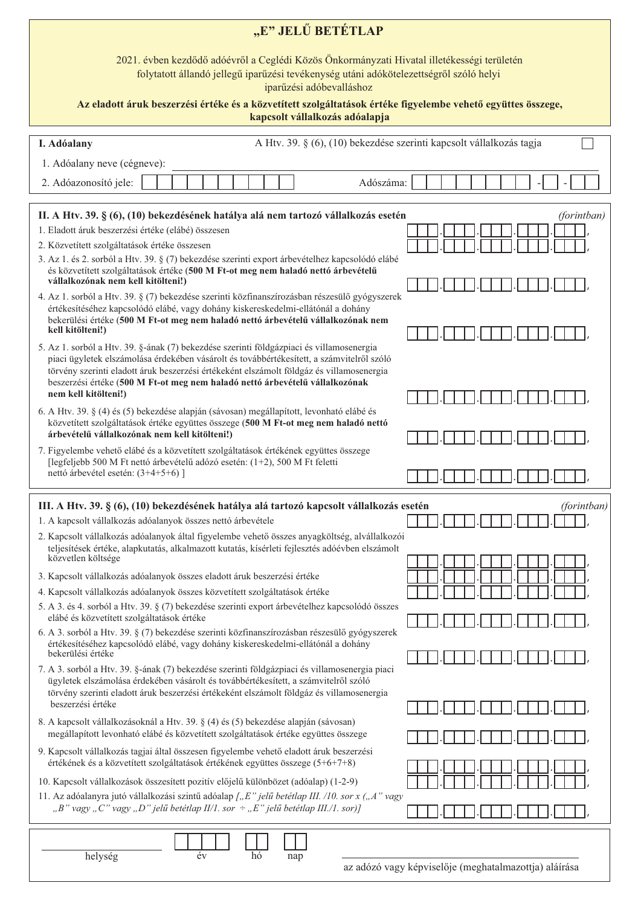| "E" JELŰ BETÉTLAP                                                                                                                                                                                                                                                                                                                                                 |             |  |  |  |  |  |  |  |
|-------------------------------------------------------------------------------------------------------------------------------------------------------------------------------------------------------------------------------------------------------------------------------------------------------------------------------------------------------------------|-------------|--|--|--|--|--|--|--|
| 2021. évben kezdődő adóévről a Ceglédi Közös Önkormányzati Hivatal illetékességi területén<br>folytatott állandó jellegű iparűzési tevékenység utáni adókötelezettségről szóló helyi<br>iparűzési adóbevalláshoz                                                                                                                                                  |             |  |  |  |  |  |  |  |
| Az eladott áruk beszerzési értéke és a közvetített szolgáltatások értéke figyelembe vehető együttes összege,<br>kapcsolt vállalkozás adóalapja                                                                                                                                                                                                                    |             |  |  |  |  |  |  |  |
| A Htv. 39. § (6), (10) bekezdése szerinti kapcsolt vállalkozás tagja<br>I. Adóalany                                                                                                                                                                                                                                                                               |             |  |  |  |  |  |  |  |
| 1. Adóalany neve (cégneve):<br>Adószáma:<br>2. Adóazonosító jele:                                                                                                                                                                                                                                                                                                 |             |  |  |  |  |  |  |  |
| II. A Htv. 39. § (6), (10) bekezdésének hatálya alá nem tartozó vállalkozás esetén<br>1. Eladott áruk beszerzési értéke (elábé) összesen                                                                                                                                                                                                                          | (forintban) |  |  |  |  |  |  |  |
| 2. Közvetített szolgáltatások értéke összesen<br>3. Az 1. és 2. sorból a Htv. 39. § (7) bekezdése szerinti export árbevételhez kapcsolódó elábé<br>és közvetített szolgáltatások értéke (500 M Ft-ot meg nem haladó nettó árbevételű<br>vállalkozónak nem kell kitölteni!)                                                                                        |             |  |  |  |  |  |  |  |
| 4. Az 1. sorból a Htv. 39. § (7) bekezdése szerinti közfinanszírozásban részesülő gyógyszerek<br>értékesítéséhez kapcsolódó elábé, vagy dohány kiskereskedelmi-ellátónál a dohány<br>bekerülési értéke (500 M Ft-ot meg nem haladó nettó árbevételű vállalkozónak nem<br>kell kitölteni!)                                                                         |             |  |  |  |  |  |  |  |
| 5. Az 1. sorból a Htv. 39. §-ának (7) bekezdése szerinti földgázpiaci és villamosenergia<br>piaci ügyletek elszámolása érdekében vásárolt és továbbértékesített, a számvitelről szóló<br>törvény szerinti eladott áruk beszerzési értékeként elszámolt földgáz és villamosenergia<br>beszerzési értéke (500 M Ft-ot meg nem haladó nettó árbevételű vállalkozónak |             |  |  |  |  |  |  |  |
| nem kell kitölteni!)<br>6. A Htv. 39. § (4) és (5) bekezdése alapján (sávosan) megállapított, levonható elábé és<br>közvetített szolgáltatások értéke együttes összege (500 M Ft-ot meg nem haladó nettó<br>árbevételű vállalkozónak nem kell kitölteni!)                                                                                                         |             |  |  |  |  |  |  |  |
| 7. Figyelembe vehető elábé és a közvetített szolgáltatások értékének együttes összege<br>[legfeljebb 500 M Ft nettó árbevételű adózó esetén: (1+2), 500 M Ft feletti<br>nettó árbevétel esetén: (3+4+5+6)]                                                                                                                                                        |             |  |  |  |  |  |  |  |
| III. A Htv. 39. § (6), (10) bekezdésének hatálya alá tartozó kapcsolt vállalkozás esetén                                                                                                                                                                                                                                                                          | (forintban) |  |  |  |  |  |  |  |
| 1. A kapcsolt vállalkozás adóalanyok összes nettó árbevétele                                                                                                                                                                                                                                                                                                      |             |  |  |  |  |  |  |  |
| 2. Kapcsolt vállalkozás adóalanyok által figyelembe vehető összes anyagköltség, alvállalkozói<br>teljesítések értéke, alapkutatás, alkalmazott kutatás, kísérleti fejlesztés adóévben elszámolt<br>közvetlen költsége                                                                                                                                             |             |  |  |  |  |  |  |  |
| 3. Kapcsolt vállalkozás adóalanyok összes eladott áruk beszerzési értéke                                                                                                                                                                                                                                                                                          |             |  |  |  |  |  |  |  |
| 4. Kapcsolt vállalkozás adóalanyok összes közvetített szolgáltatások értéke<br>5. A 3. és 4. sorból a Htv. 39. § (7) bekezdése szerinti export árbevételhez kapcsolódó összes                                                                                                                                                                                     |             |  |  |  |  |  |  |  |
| elábé és közvetített szolgáltatások értéke<br>6. A 3. sorból a Htv. 39. § (7) bekezdése szerinti közfinanszírozásban részesülő gyógyszerek                                                                                                                                                                                                                        |             |  |  |  |  |  |  |  |
| értékesítéséhez kapcsolódó elábé, vagy dohány kiskereskedelmi-ellátónál a dohány<br>bekerülési értéke<br>7. A 3. sorból a Htv. 39. §-ának (7) bekezdése szerinti földgázpiaci és villamosenergia piaci                                                                                                                                                            |             |  |  |  |  |  |  |  |
| ügyletek elszámolása érdekében vásárolt és továbbértékesített, a számvitelről szóló<br>törvény szerinti eladott áruk beszerzési értékeként elszámolt földgáz és villamosenergia<br>beszerzési értéke                                                                                                                                                              |             |  |  |  |  |  |  |  |
| 8. A kapcsolt vállalkozásoknál a Htv. 39. § (4) és (5) bekezdése alapján (sávosan)<br>megállapított levonható elábé és közvetített szolgáltatások értéke együttes összege                                                                                                                                                                                         |             |  |  |  |  |  |  |  |
| 9. Kapcsolt vállalkozás tagjai által összesen figyelembe vehető eladott áruk beszerzési<br>értékének és a közvetített szolgáltatások értékének együttes összege (5+6+7+8)                                                                                                                                                                                         |             |  |  |  |  |  |  |  |
| 10. Kapcsolt vállalkozások összesített pozitív előjelű különbözet (adóalap) (1-2-9)<br>11. Az adóalanyra jutó vállalkozási szintű adóalap ["E" jelű betétlap III. /10. sor x ("A" vagy                                                                                                                                                                            |             |  |  |  |  |  |  |  |
| "B" vagy "C" vagy "D" jelű betétlap II/1. sor ÷ "E" jelű betétlap III./1. sor)]                                                                                                                                                                                                                                                                                   |             |  |  |  |  |  |  |  |
| helység<br>év<br>hó<br>nap                                                                                                                                                                                                                                                                                                                                        |             |  |  |  |  |  |  |  |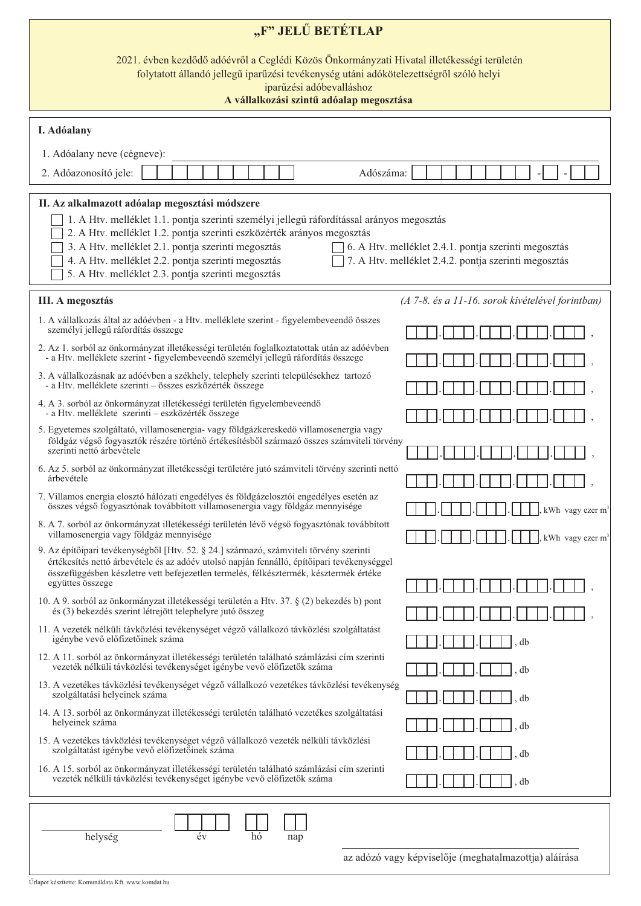| "F" JELŰ BETÉTLAP                                                                                                                                                                                                                                                                                                                                                                                                                                                                                       |                                                  |  |  |  |  |  |  |  |  |
|---------------------------------------------------------------------------------------------------------------------------------------------------------------------------------------------------------------------------------------------------------------------------------------------------------------------------------------------------------------------------------------------------------------------------------------------------------------------------------------------------------|--------------------------------------------------|--|--|--|--|--|--|--|--|
| 2021. évben kezdődő adóévről a Ceglédi Közös Önkormányzati Hivatal illetékességi területén<br>folytatott állandó jellegű iparűzési tevékenység utáni adókötelezettségről szóló helyi<br>iparűzési adóbevalláshoz<br>A vállalkozási szintű adóalap megosztása                                                                                                                                                                                                                                            |                                                  |  |  |  |  |  |  |  |  |
| I. Adóalany                                                                                                                                                                                                                                                                                                                                                                                                                                                                                             |                                                  |  |  |  |  |  |  |  |  |
| 1. Adóalany neve (cégneve):                                                                                                                                                                                                                                                                                                                                                                                                                                                                             |                                                  |  |  |  |  |  |  |  |  |
| 2. Adóazonosító jele:<br>Adószáma:                                                                                                                                                                                                                                                                                                                                                                                                                                                                      |                                                  |  |  |  |  |  |  |  |  |
| II. Az alkalmazott adóalap megosztási módszere<br>1. A Htv. melléklet 1.1. pontja szerinti személyi jellegű ráfordítással arányos megosztás<br>2. A Htv. melléklet 1.2. pontja szerinti eszközérték arányos megosztás<br>3. A Htv. melléklet 2.1. pontja szerinti megosztás<br>6. A Htv. melléklet 2.4.1. pontja szerinti megosztás<br>4. A Htv. melléklet 2.2. pontja szerinti megosztás<br>7. A Htv. melléklet 2.4.2. pontja szerinti megosztás<br>5. A Htv. melléklet 2.3. pontja szerinti megosztás |                                                  |  |  |  |  |  |  |  |  |
| <b>III.</b> A megosztás                                                                                                                                                                                                                                                                                                                                                                                                                                                                                 | (A 7-8. és a 11-16. sorok kivételével forintban) |  |  |  |  |  |  |  |  |
| 1. A vállalkozás által az adóévben - a Htv. melléklete szerint - figyelembeveendő összes<br>személyi jellegű ráfordítás összege                                                                                                                                                                                                                                                                                                                                                                         |                                                  |  |  |  |  |  |  |  |  |
| 2. Az 1. sorból az önkormányzat illetékességi területén foglalkoztatottak után az adóévben<br>- a Htv. melléklete szerint - figyelembeveendő személyi jellegű ráfordítás összege                                                                                                                                                                                                                                                                                                                        |                                                  |  |  |  |  |  |  |  |  |
| 3. A vállalkozásnak az adóévben a székhely, telephely szerinti településekhez tartozó<br>- a Htv. melléklete szerinti – összes eszközérték összege                                                                                                                                                                                                                                                                                                                                                      |                                                  |  |  |  |  |  |  |  |  |
| 4. A 3. sorból az önkormányzat illetékességi területén figyelembeveendő<br>- a Htv. melléklete szerinti – eszközérték összege                                                                                                                                                                                                                                                                                                                                                                           |                                                  |  |  |  |  |  |  |  |  |
| 5. Egyetemes szolgáltató, villamosenergia- vagy földgázkereskedő villamosenergia vagy<br>földgáz végső fogyasztók részére történő értékesítésből származó összes számviteli törvény<br>szerinti nettó árbevétele                                                                                                                                                                                                                                                                                        |                                                  |  |  |  |  |  |  |  |  |
| 6. Az 5. sorból az önkormányzat illetékességi területére jutó számviteli törvény szerinti nettó<br>árbevétele                                                                                                                                                                                                                                                                                                                                                                                           |                                                  |  |  |  |  |  |  |  |  |
| 7. Villamos energia elosztó hálózati engedélyes és földgázelosztói engedélyes esetén az<br>összes végső fogyasztónak továbbított villamosenergia vagy földgáz mennyisége                                                                                                                                                                                                                                                                                                                                | kWh vagy ezer m <sup>3</sup>                     |  |  |  |  |  |  |  |  |
| 8. A 7. sorból az önkormányzat illetékességi területén lévő végső fogyasztónak továbbított<br>villamosenergia vagy földgáz mennyisége                                                                                                                                                                                                                                                                                                                                                                   | kWh vagy ezer $m3$                               |  |  |  |  |  |  |  |  |
| 9. Az építőipari tevékenységből [Htv. 52. § 24.] származó, számviteli törvény szerinti<br>értékesítés nettó árbevétele és az adóév utolsó napján fennálló, építőipari tevékenységgel<br>összefüggésben készletre vett befejezetlen termelés, félkésztermék, késztermék értéke                                                                                                                                                                                                                           |                                                  |  |  |  |  |  |  |  |  |
| együttes összege<br>10. A 9. sorból az önkormányzat illetékességi területén a Htv. 37. § (2) bekezdés b) pont                                                                                                                                                                                                                                                                                                                                                                                           |                                                  |  |  |  |  |  |  |  |  |
| és (3) bekezdés szerint létrejött telephelyre jutó összeg                                                                                                                                                                                                                                                                                                                                                                                                                                               |                                                  |  |  |  |  |  |  |  |  |
| 11. A vezeték nélküli távközlési tevékenységet végző vállalkozó távközlési szolgáltatást<br>igénybe vevő előfizetőinek száma                                                                                                                                                                                                                                                                                                                                                                            | db                                               |  |  |  |  |  |  |  |  |
| 12. A 11. sorból az önkormányzat illetékességi területén található számlázási cím szerinti<br>vezeték nélküli távközlési tevékenységet igénybe vevő előfizetők száma                                                                                                                                                                                                                                                                                                                                    | db                                               |  |  |  |  |  |  |  |  |
| 13. A vezetékes távközlési tevékenységet végző vállalkozó vezetékes távközlési tevékenység<br>szolgáltatási helyeinek száma                                                                                                                                                                                                                                                                                                                                                                             | db                                               |  |  |  |  |  |  |  |  |
| 14. A 13. sorból az önkormányzat illetékességi területén található vezetékes szolgáltatási<br>helyeinek száma                                                                                                                                                                                                                                                                                                                                                                                           | db                                               |  |  |  |  |  |  |  |  |
| 15. A vezetékes távközlési tevékenységet végző vállalkozó vezeték nélküli távközlési<br>szolgáltatást igénybe vevő előfizetőinek száma                                                                                                                                                                                                                                                                                                                                                                  | db                                               |  |  |  |  |  |  |  |  |
| 16. A 15. sorból az önkormányzat illetékességi területén található számlázási cím szerinti<br>vezeték nélküli távközlési tevékenységet igénybe vevő előfizetők száma                                                                                                                                                                                                                                                                                                                                    | db                                               |  |  |  |  |  |  |  |  |
| helység<br>év<br>hó<br>nap                                                                                                                                                                                                                                                                                                                                                                                                                                                                              |                                                  |  |  |  |  |  |  |  |  |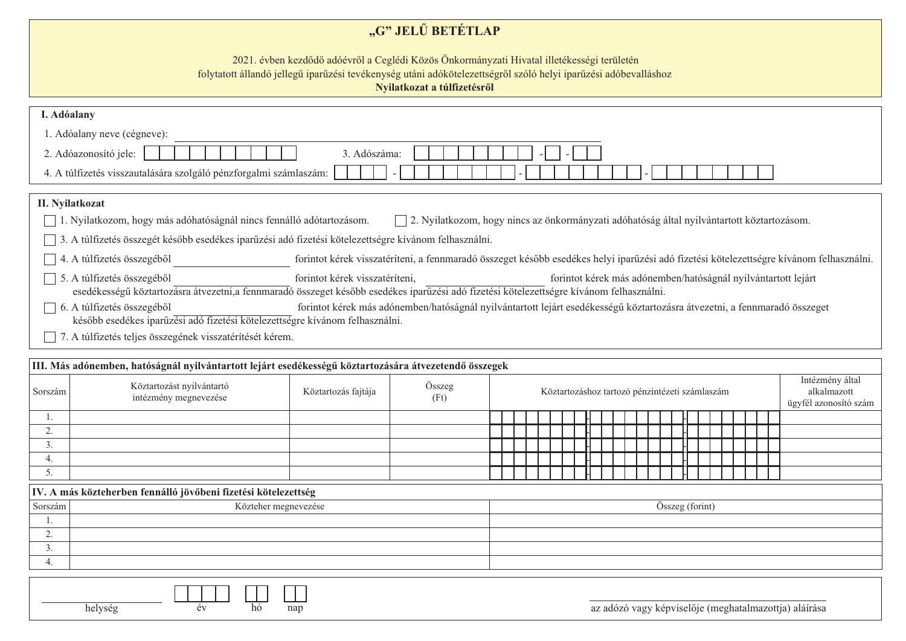## "G" JELŰ BETÉTLAP

2021. évben kezdődő adóévről a Ceglédi Közös Önkormányzati Hivatal illetékességi területén

folytatott állandó jellegű iparűzési tevékenység utáni adókötelezettségről szóló helyi iparűzési adóbevalláshoz

Nyilatkozat a túlfizetésről

| I. Adóalany                           |                                                                                                                                         |                                                                                                                                         |                                                                                                   |  |  |  |                                                |  |  |  |  |  |                 |  |  |                                                               |
|---------------------------------------|-----------------------------------------------------------------------------------------------------------------------------------------|-----------------------------------------------------------------------------------------------------------------------------------------|---------------------------------------------------------------------------------------------------|--|--|--|------------------------------------------------|--|--|--|--|--|-----------------|--|--|---------------------------------------------------------------|
|                                       | 1. Adóalany neve (cégneve):                                                                                                             |                                                                                                                                         |                                                                                                   |  |  |  |                                                |  |  |  |  |  |                 |  |  |                                                               |
| 2. Adóazonosító jele:<br>3. Adószáma: |                                                                                                                                         |                                                                                                                                         |                                                                                                   |  |  |  |                                                |  |  |  |  |  |                 |  |  |                                                               |
|                                       |                                                                                                                                         |                                                                                                                                         |                                                                                                   |  |  |  |                                                |  |  |  |  |  |                 |  |  |                                                               |
|                                       | 4. A túlfizetés visszautalására szolgáló pénzforgalmi számlaszám:                                                                       |                                                                                                                                         |                                                                                                   |  |  |  |                                                |  |  |  |  |  |                 |  |  |                                                               |
|                                       | II. Nyilatkozat                                                                                                                         |                                                                                                                                         |                                                                                                   |  |  |  |                                                |  |  |  |  |  |                 |  |  |                                                               |
|                                       | 1. Nyilatkozom, hogy más adóhatóságnál nincs fennálló adótartozásom.                                                                    |                                                                                                                                         | $\Box$ 2. Nyilatkozom, hogy nincs az önkormányzati adóhatóság által nyilvántartott köztartozásom. |  |  |  |                                                |  |  |  |  |  |                 |  |  |                                                               |
|                                       | 3. A túlfizetés összegét később esedékes iparűzési adó fizetési kötelezettségre kívánom felhasználni.                                   |                                                                                                                                         |                                                                                                   |  |  |  |                                                |  |  |  |  |  |                 |  |  |                                                               |
|                                       |                                                                                                                                         |                                                                                                                                         |                                                                                                   |  |  |  |                                                |  |  |  |  |  |                 |  |  |                                                               |
|                                       | 4. A túlfizetés összegéből                                                                                                              | forintot kérek visszatéríteni, a fennmaradó összeget később esedékes helyi iparűzési adó fizetési kötelezettségre kívánom felhasználni. |                                                                                                   |  |  |  |                                                |  |  |  |  |  |                 |  |  |                                                               |
|                                       | 5. A túlfizetés összegéből                                                                                                              | forintot kérek visszatéríteni,                                                                                                          |                                                                                                   |  |  |  |                                                |  |  |  |  |  |                 |  |  | forintot kérek más adónemben/hatóságnál nyilvántartott lejárt |
|                                       | esedékességű köztartozásra átvezetni,a fennmaradó összeget később esedékes iparűzési adó fizetési kötelezettségre kívánom felhasználni. |                                                                                                                                         |                                                                                                   |  |  |  |                                                |  |  |  |  |  |                 |  |  |                                                               |
|                                       | 6. A túlfizetés összegéből                                                                                                              | forintot kérek más adónemben/hatóságnál nyilvántartott lejárt esedékességű köztartozásra átvezetni, a fennmaradó összeget               |                                                                                                   |  |  |  |                                                |  |  |  |  |  |                 |  |  |                                                               |
|                                       | később esedékes iparűzési adó fizetési kötelezettségre kívánom felhasználni.                                                            |                                                                                                                                         |                                                                                                   |  |  |  |                                                |  |  |  |  |  |                 |  |  |                                                               |
|                                       | 7. A túlfizetés teljes összegének visszatérítését kérem.                                                                                |                                                                                                                                         |                                                                                                   |  |  |  |                                                |  |  |  |  |  |                 |  |  |                                                               |
|                                       | III. Más adónemben, hatóságnál nyilvántartott lejárt esedékességű köztartozására átvezetendő összegek                                   |                                                                                                                                         |                                                                                                   |  |  |  |                                                |  |  |  |  |  |                 |  |  |                                                               |
|                                       |                                                                                                                                         |                                                                                                                                         |                                                                                                   |  |  |  |                                                |  |  |  |  |  |                 |  |  | Intézmény által                                               |
| Sorszám                               | Köztartozást nyilvántartó<br>intézmény megnevezése                                                                                      | Köztartozás fajtája                                                                                                                     | Összeg                                                                                            |  |  |  | Köztartozáshoz tartozó pénzintézeti számlaszám |  |  |  |  |  |                 |  |  | alkalmazott                                                   |
|                                       |                                                                                                                                         |                                                                                                                                         | (Ft)                                                                                              |  |  |  |                                                |  |  |  |  |  |                 |  |  | ügyfél azonosító szám                                         |
|                                       |                                                                                                                                         |                                                                                                                                         |                                                                                                   |  |  |  |                                                |  |  |  |  |  |                 |  |  |                                                               |
| 2.                                    |                                                                                                                                         |                                                                                                                                         |                                                                                                   |  |  |  |                                                |  |  |  |  |  |                 |  |  |                                                               |
| 3.<br>4.                              |                                                                                                                                         |                                                                                                                                         |                                                                                                   |  |  |  |                                                |  |  |  |  |  |                 |  |  |                                                               |
| 5.                                    |                                                                                                                                         |                                                                                                                                         |                                                                                                   |  |  |  |                                                |  |  |  |  |  |                 |  |  |                                                               |
|                                       |                                                                                                                                         |                                                                                                                                         |                                                                                                   |  |  |  |                                                |  |  |  |  |  |                 |  |  |                                                               |
|                                       | IV. A más közteherben fennálló jövőbeni fizetési kötelezettség                                                                          |                                                                                                                                         |                                                                                                   |  |  |  |                                                |  |  |  |  |  |                 |  |  |                                                               |
| Sorszám                               |                                                                                                                                         | Közteher megnevezése                                                                                                                    |                                                                                                   |  |  |  |                                                |  |  |  |  |  | Összeg (forint) |  |  |                                                               |
| 2.                                    |                                                                                                                                         |                                                                                                                                         |                                                                                                   |  |  |  |                                                |  |  |  |  |  |                 |  |  |                                                               |
| 3.                                    |                                                                                                                                         |                                                                                                                                         |                                                                                                   |  |  |  |                                                |  |  |  |  |  |                 |  |  |                                                               |
| 4.                                    |                                                                                                                                         |                                                                                                                                         |                                                                                                   |  |  |  |                                                |  |  |  |  |  |                 |  |  |                                                               |
|                                       |                                                                                                                                         |                                                                                                                                         |                                                                                                   |  |  |  |                                                |  |  |  |  |  |                 |  |  |                                                               |

 $\overline{ev}$ 

helység

 $\overline{h\acute{o}}$ 

nap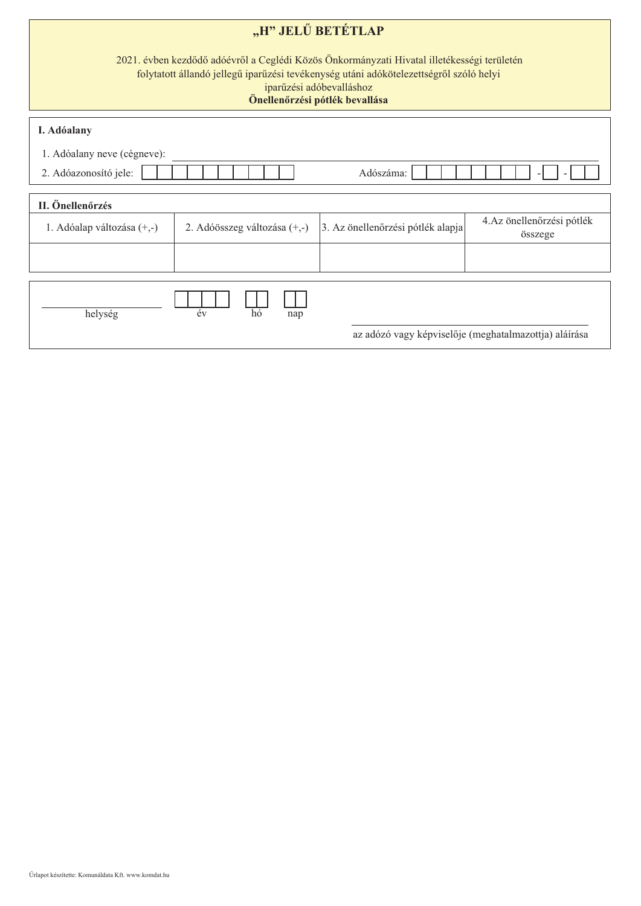| "H" JELŰ BETÉTLAP<br>2021. évben kezdődő adóévről a Ceglédi Közös Önkormányzati Hivatal illetékességi területén<br>folytatott állandó jellegű iparűzési tevékenység utáni adókötelezettségről szóló helyi<br>iparűzési adóbevalláshoz<br>Önellenőrzési pótlék bevallása |                              |                                   |                                                       |  |  |  |  |  |  |  |  |
|-------------------------------------------------------------------------------------------------------------------------------------------------------------------------------------------------------------------------------------------------------------------------|------------------------------|-----------------------------------|-------------------------------------------------------|--|--|--|--|--|--|--|--|
| I. Adóalany<br>1. Adóalany neve (cégneve):                                                                                                                                                                                                                              |                              |                                   |                                                       |  |  |  |  |  |  |  |  |
| 2. Adóazonosító jele:                                                                                                                                                                                                                                                   | Adószáma:                    |                                   |                                                       |  |  |  |  |  |  |  |  |
| II. Önellenőrzés                                                                                                                                                                                                                                                        |                              |                                   |                                                       |  |  |  |  |  |  |  |  |
| 1. Adóalap változása (+,-)                                                                                                                                                                                                                                              | 2. Adóösszeg változása (+,-) | 3. Az önellenőrzési pótlék alapja | 4.Az önellenőrzési pótlék<br>összege                  |  |  |  |  |  |  |  |  |
|                                                                                                                                                                                                                                                                         |                              |                                   |                                                       |  |  |  |  |  |  |  |  |
| helység                                                                                                                                                                                                                                                                 | év<br>hó<br>nap              |                                   | az adózó vagy képviselője (meghatalmazottja) aláírása |  |  |  |  |  |  |  |  |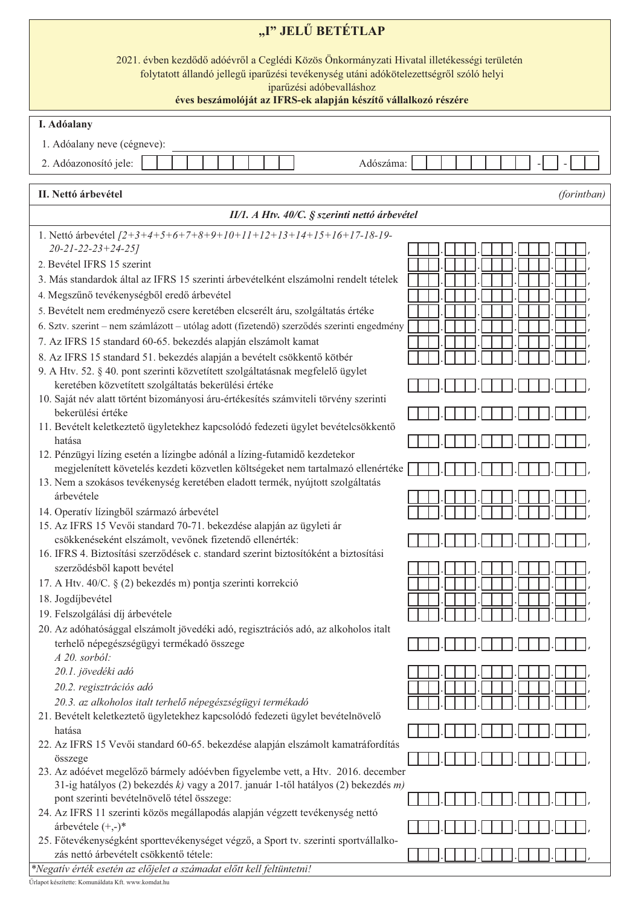| "I" JELŰ BETÉTLAP                                                                                                                                                                                                                                                                   |             |  |  |  |  |  |  |
|-------------------------------------------------------------------------------------------------------------------------------------------------------------------------------------------------------------------------------------------------------------------------------------|-------------|--|--|--|--|--|--|
| 2021. évben kezdődő adóévről a Ceglédi Közös Önkormányzati Hivatal illetékességi területén<br>folytatott állandó jellegű iparűzési tevékenység utáni adókötelezettségről szóló helyi<br>iparűzési adóbevalláshoz<br>éves beszámolóját az IFRS-ek alapján készítő vállalkozó részére |             |  |  |  |  |  |  |
| I. Adóalany                                                                                                                                                                                                                                                                         |             |  |  |  |  |  |  |
| 1. Adóalany neve (cégneve):                                                                                                                                                                                                                                                         |             |  |  |  |  |  |  |
| Adószáma:                                                                                                                                                                                                                                                                           |             |  |  |  |  |  |  |
| 2. Adóazonosító jele:                                                                                                                                                                                                                                                               |             |  |  |  |  |  |  |
| II. Nettó árbevétel                                                                                                                                                                                                                                                                 | (forintban) |  |  |  |  |  |  |
| II/1. A Htv. 40/C. § szerinti nettó árbevétel                                                                                                                                                                                                                                       |             |  |  |  |  |  |  |
| 1. Nettó árbevétel [2+3+4+5+6+7+8+9+10+11+12+13+14+15+16+17-18-19-<br>20-21-22-23+24-25]                                                                                                                                                                                            |             |  |  |  |  |  |  |
| 2. Bevétel IFRS 15 szerint                                                                                                                                                                                                                                                          |             |  |  |  |  |  |  |
| 3. Más standardok által az IFRS 15 szerinti árbevételként elszámolni rendelt tételek                                                                                                                                                                                                |             |  |  |  |  |  |  |
| 4. Megszűnő tevékenységből eredő árbevétel                                                                                                                                                                                                                                          |             |  |  |  |  |  |  |
| 5. Bevételt nem eredményező csere keretében elcserélt áru, szolgáltatás értéke                                                                                                                                                                                                      |             |  |  |  |  |  |  |
| 6. Sztv. szerint – nem számlázott – utólag adott (fizetendő) szerződés szerinti engedmény                                                                                                                                                                                           |             |  |  |  |  |  |  |
| 7. Az IFRS 15 standard 60-65. bekezdés alapján elszámolt kamat                                                                                                                                                                                                                      |             |  |  |  |  |  |  |
| 8. Az IFRS 15 standard 51. bekezdés alapján a bevételt csökkentő kötbér                                                                                                                                                                                                             |             |  |  |  |  |  |  |
| 9. A Htv. 52. § 40. pont szerinti közvetített szolgáltatásnak megfelelő ügylet<br>keretében közvetített szolgáltatás bekerülési értéke                                                                                                                                              |             |  |  |  |  |  |  |
| 10. Saját név alatt történt bizományosi áru-értékesítés számviteli törvény szerinti                                                                                                                                                                                                 |             |  |  |  |  |  |  |
| bekerülési értéke                                                                                                                                                                                                                                                                   |             |  |  |  |  |  |  |
| 11. Bevételt keletkeztető ügyletekhez kapcsolódó fedezeti ügylet bevételcsökkentő                                                                                                                                                                                                   |             |  |  |  |  |  |  |
| hatása                                                                                                                                                                                                                                                                              |             |  |  |  |  |  |  |
| 12. Pénzügyi lízing esetén a lízingbe adónál a lízing-futamidő kezdetekor<br>megjelenített követelés kezdeti közvetlen költségeket nem tartalmazó ellenértéke                                                                                                                       |             |  |  |  |  |  |  |
| 13. Nem a szokásos tevékenység keretében eladott termék, nyújtott szolgáltatás                                                                                                                                                                                                      |             |  |  |  |  |  |  |
| árbevétele                                                                                                                                                                                                                                                                          |             |  |  |  |  |  |  |
| 14. Operatív lízingből származó árbevétel                                                                                                                                                                                                                                           |             |  |  |  |  |  |  |
| 15. Az IFRS 15 Vevői standard 70-71. bekezdése alapján az ügyleti ár                                                                                                                                                                                                                |             |  |  |  |  |  |  |
| csökkenéseként elszámolt, vevőnek fizetendő ellenérték:<br>16. IFRS 4. Biztosítási szerződések c. standard szerint biztosítóként a biztosítási                                                                                                                                      |             |  |  |  |  |  |  |
| szerződésből kapott bevétel                                                                                                                                                                                                                                                         |             |  |  |  |  |  |  |
| 17. A Htv. 40/C. § (2) bekezdés m) pontja szerinti korrekció                                                                                                                                                                                                                        |             |  |  |  |  |  |  |
| 18. Jogdíjbevétel                                                                                                                                                                                                                                                                   |             |  |  |  |  |  |  |
| 19. Felszolgálási díj árbevétele                                                                                                                                                                                                                                                    |             |  |  |  |  |  |  |
| 20. Az adóhatósággal elszámolt jövedéki adó, regisztrációs adó, az alkoholos italt                                                                                                                                                                                                  |             |  |  |  |  |  |  |
| terhelő népegészségügyi termékadó összege                                                                                                                                                                                                                                           |             |  |  |  |  |  |  |
| A 20. sorból:<br>20.1. jövedéki adó                                                                                                                                                                                                                                                 |             |  |  |  |  |  |  |
| 20.2. regisztrációs adó                                                                                                                                                                                                                                                             |             |  |  |  |  |  |  |
| 20.3. az alkoholos italt terhelő népegészségügyi termékadó                                                                                                                                                                                                                          |             |  |  |  |  |  |  |
| 21. Bevételt keletkeztető ügyletekhez kapcsolódó fedezeti ügylet bevételnövelő                                                                                                                                                                                                      |             |  |  |  |  |  |  |
| hatása                                                                                                                                                                                                                                                                              |             |  |  |  |  |  |  |
| 22. Az IFRS 15 Vevői standard 60-65. bekezdése alapján elszámolt kamatráfordítás                                                                                                                                                                                                    |             |  |  |  |  |  |  |
| összege<br>23. Az adóévet megelőző bármely adóévben figyelembe vett, a Htv. 2016. december                                                                                                                                                                                          |             |  |  |  |  |  |  |
| 31-ig hatályos (2) bekezdés k) vagy a 2017. január 1-től hatályos (2) bekezdés m)                                                                                                                                                                                                   |             |  |  |  |  |  |  |
| pont szerinti bevételnövelő tétel összege:                                                                                                                                                                                                                                          |             |  |  |  |  |  |  |
| 24. Az IFRS 11 szerinti közös megállapodás alapján végzett tevékenység nettó                                                                                                                                                                                                        |             |  |  |  |  |  |  |
| árbevétele $(+,-)^*$                                                                                                                                                                                                                                                                |             |  |  |  |  |  |  |
| 25. Főtevékenységként sporttevékenységet végző, a Sport tv. szerinti sportvállalko-<br>zás nettó árbevételt csökkentő tétele:                                                                                                                                                       |             |  |  |  |  |  |  |
| *Negatív érték esetén az előjelet a számadat előtt kell feltüntetni!                                                                                                                                                                                                                |             |  |  |  |  |  |  |

Űrlapot készítette: Komunáldata Kft. www.komdat.hu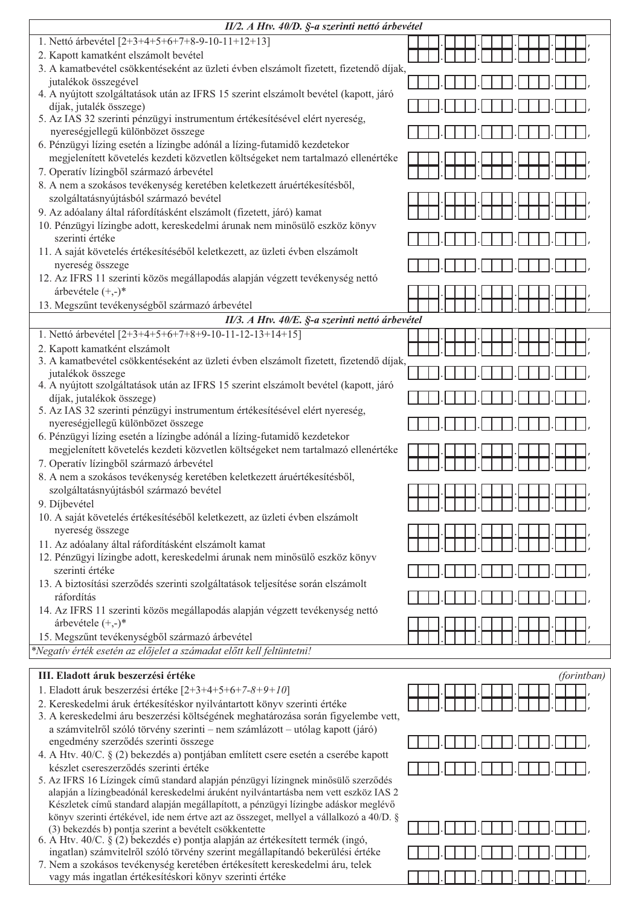| II/2. A Htv. 40/D. §-a szerinti nettó árbevétel                                                                                          |             |  |  |  |  |
|------------------------------------------------------------------------------------------------------------------------------------------|-------------|--|--|--|--|
| 1. Nettó árbevétel [2+3+4+5+6+7+8-9-10-11+12+13]                                                                                         |             |  |  |  |  |
| 2. Kapott kamatként elszámolt bevétel                                                                                                    |             |  |  |  |  |
| 3. A kamatbevétel csökkentéseként az üzleti évben elszámolt fizetett, fizetendő díjak,                                                   |             |  |  |  |  |
| jutalékok összegével                                                                                                                     |             |  |  |  |  |
| 4. A nyújtott szolgáltatások után az IFRS 15 szerint elszámolt bevétel (kapott, járó                                                     |             |  |  |  |  |
| díjak, jutalék összege)                                                                                                                  |             |  |  |  |  |
| 5. Az IAS 32 szerinti pénzügyi instrumentum értékesítésével elért nyereség,                                                              |             |  |  |  |  |
| nyereségjellegű különbözet összege                                                                                                       |             |  |  |  |  |
| 6. Pénzügyi lízing esetén a lízingbe adónál a lízing-futamidő kezdetekor                                                                 |             |  |  |  |  |
| megjelenített követelés kezdeti közvetlen költségeket nem tartalmazó ellenértéke                                                         |             |  |  |  |  |
| 7. Operatív lízingből származó árbevétel                                                                                                 |             |  |  |  |  |
| 8. A nem a szokásos tevékenység keretében keletkezett áruértékesítésből,                                                                 |             |  |  |  |  |
| szolgáltatásnyújtásból származó bevétel                                                                                                  |             |  |  |  |  |
| 9. Az adóalany által ráfordításként elszámolt (fizetett, járó) kamat                                                                     |             |  |  |  |  |
| 10. Pénzügyi lízingbe adott, kereskedelmi árunak nem minősülő eszköz könyv                                                               |             |  |  |  |  |
| szerinti értéke                                                                                                                          |             |  |  |  |  |
| 11. A saját követelés értékesítéséből keletkezett, az üzleti évben elszámolt                                                             |             |  |  |  |  |
| nyereség összege<br>12. Az IFRS 11 szerinti közös megállapodás alapján végzett tevékenység nettó                                         |             |  |  |  |  |
|                                                                                                                                          |             |  |  |  |  |
| árbevétele $(+,-)^*$<br>13. Megszűnt tevékenységből származó árbevétel                                                                   |             |  |  |  |  |
|                                                                                                                                          |             |  |  |  |  |
| II/3. A Htv. 40/E. §-a szerinti nettó árbevétel                                                                                          |             |  |  |  |  |
| 1. Nettó árbevétel [2+3+4+5+6+7+8+9-10-11-12-13+14+15]                                                                                   |             |  |  |  |  |
| 2. Kapott kamatként elszámolt<br>3. A kamatbevétel csökkentéseként az üzleti évben elszámolt fizetett, fizetendő díjak,                  |             |  |  |  |  |
| jutalékok összege                                                                                                                        |             |  |  |  |  |
| 4. A nyújtott szolgáltatások után az IFRS 15 szerint elszámolt bevétel (kapott, járó                                                     |             |  |  |  |  |
| díjak, jutalékok összege)                                                                                                                |             |  |  |  |  |
| 5. Az IAS 32 szerinti pénzügyi instrumentum értékesítésével elért nyereség,<br>nyereségjellegű különbözet összege                        |             |  |  |  |  |
| 6. Pénzügyi lízing esetén a lízingbe adónál a lízing-futamidő kezdetekor                                                                 |             |  |  |  |  |
| megjelenített követelés kezdeti közvetlen költségeket nem tartalmazó ellenértéke                                                         |             |  |  |  |  |
| 7. Operatív lízingből származó árbevétel                                                                                                 |             |  |  |  |  |
| 8. A nem a szokásos tevékenység keretében keletkezett áruértékesítésből,                                                                 |             |  |  |  |  |
| szolgáltatásnyújtásból származó bevétel                                                                                                  |             |  |  |  |  |
| 9. Díjbevétel                                                                                                                            |             |  |  |  |  |
| 10. A saját követelés értékesítéséből keletkezett, az üzleti évben elszámolt                                                             |             |  |  |  |  |
| nyereség összege                                                                                                                         |             |  |  |  |  |
| 11. Az adóalany által ráfordításként elszámolt kamat                                                                                     |             |  |  |  |  |
| 12. Pénzügyi lízingbe adott, kereskedelmi árunak nem minősülő eszköz könyv                                                               |             |  |  |  |  |
| szerinti értéke                                                                                                                          |             |  |  |  |  |
| 13. A biztosítási szerződés szerinti szolgáltatások teljesítése során elszámolt<br>ráfordítás                                            |             |  |  |  |  |
| 14. Az IFRS 11 szerinti közös megállapodás alapján végzett tevékenység nettó                                                             |             |  |  |  |  |
| árbevétele $(+,-)^*$                                                                                                                     |             |  |  |  |  |
| 15. Megszűnt tevékenységből származó árbevétel                                                                                           |             |  |  |  |  |
| *Negatív érték esetén az előjelet a számadat előtt kell feltüntetni!                                                                     |             |  |  |  |  |
|                                                                                                                                          |             |  |  |  |  |
| III. Eladott áruk beszerzési értéke                                                                                                      | (forintban) |  |  |  |  |
| 1. Eladott áruk beszerzési értéke $[2+3+4+5+6+7-8+9+10]$                                                                                 |             |  |  |  |  |
| 2. Kereskedelmi áruk értékesítéskor nyilvántartott könyv szerinti értéke                                                                 |             |  |  |  |  |
| 3. A kereskedelmi áru beszerzési költségének meghatározása során figyelembe vett,                                                        |             |  |  |  |  |
| a számvitelről szóló törvény szerinti – nem számlázott – utólag kapott (járó)                                                            |             |  |  |  |  |
| engedmény szerződés szerinti összege                                                                                                     |             |  |  |  |  |
| 4. A Htv. 40/C. § (2) bekezdés a) pontjában említett csere esetén a cserébe kapott                                                       |             |  |  |  |  |
| készlet csereszerződés szerinti értéke<br>5. Az IFRS 16 Lízingek című standard alapján pénzügyi lízingnek minősülő szerződés             |             |  |  |  |  |
| alapján a lízingbeadónál kereskedelmi áruként nyilvántartásba nem vett eszköz IAS 2                                                      |             |  |  |  |  |
| Készletek című standard alapján megállapított, a pénzügyi lízingbe adáskor meglévő                                                       |             |  |  |  |  |
| könyv szerinti értékével, ide nem értve azt az összeget, mellyel a vállalkozó a 40/D. §                                                  |             |  |  |  |  |
| (3) bekezdés b) pontja szerint a bevételt csökkentette<br>6. A Htv. 40/C. § (2) bekezdés e) pontja alapján az értékesített termék (ingó, |             |  |  |  |  |
| ingatlan) számvitelről szóló törvény szerint megállapítandó bekerülési értéke                                                            |             |  |  |  |  |
| 7. Nem a szokásos tevékenység keretében értékesített kereskedelmi áru, telek                                                             |             |  |  |  |  |
| vagy más ingatlan értékesítéskori könyv szerinti értéke                                                                                  |             |  |  |  |  |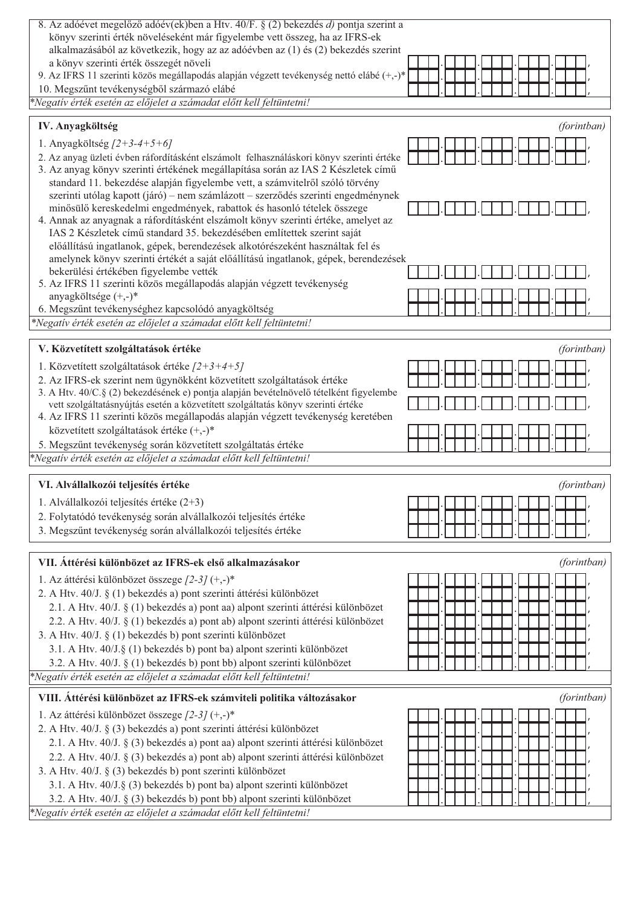| 8. Az adóévet megelőző adóév(ek)ben a Htv. 40/F. § (2) bekezdés d) pontja szerint a                                                                                  |             |
|----------------------------------------------------------------------------------------------------------------------------------------------------------------------|-------------|
| könyv szerinti érték növeléseként már figyelembe vett összeg, ha az IFRS-ek                                                                                          |             |
| alkalmazásából az következik, hogy az az adóévben az (1) és (2) bekezdés szerint                                                                                     |             |
| a könyv szerinti érték összegét növeli<br>9. Az IFRS 11 szerinti közös megállapodás alapján végzett tevékenység nettó elábé (+,-)*                                   |             |
| 10. Megszűnt tevékenységből származó elábé                                                                                                                           |             |
| *Negatív érték esetén az előjelet a számadat előtt kell feltüntetni!                                                                                                 |             |
|                                                                                                                                                                      |             |
| IV. Anyagköltség                                                                                                                                                     | (forintban) |
| 1. Anyagköltség $[2+3-4+5+6]$                                                                                                                                        |             |
| 2. Az anyag üzleti évben ráfordításként elszámolt felhasználáskori könyv szerinti értéke                                                                             |             |
| 3. Az anyag könyv szerinti értékének megállapítása során az IAS 2 Készletek című                                                                                     |             |
| standard 11. bekezdése alapján figyelembe vett, a számvitelről szóló törvény                                                                                         |             |
| szerinti utólag kapott (járó) – nem számlázott – szerződés szerinti engedménynek                                                                                     |             |
| minősülő kereskedelmi engedmények, rabattok és hasonló tételek összege                                                                                               |             |
| 4. Annak az anyagnak a ráfordításként elszámolt könyv szerinti értéke, amelyet az                                                                                    |             |
| IAS 2 Készletek című standard 35. bekezdésében említettek szerint saját                                                                                              |             |
| előállítású ingatlanok, gépek, berendezések alkotórészeként használtak fel és<br>amelynek könyv szerinti értékét a saját előállítású ingatlanok, gépek, berendezések |             |
| bekerülési értékében figyelembe vették                                                                                                                               |             |
| 5. Az IFRS 11 szerinti közös megállapodás alapján végzett tevékenység                                                                                                |             |
| anyagköltsége (+,-)*                                                                                                                                                 |             |
| 6. Megszűnt tevékenységhez kapcsolódó anyagköltség                                                                                                                   |             |
| *Negatív érték esetén az előjelet a számadat előtt kell feltüntetni!                                                                                                 |             |
|                                                                                                                                                                      |             |
| V. Közvetített szolgáltatások értéke                                                                                                                                 | (forintban) |
| 1. Közvetített szolgáltatások értéke $[2+3+4+5]$                                                                                                                     |             |
| 2. Az IFRS-ek szerint nem ügynökként közvetített szolgáltatások értéke                                                                                               |             |
| 3. A Htv. 40/C.§ (2) bekezdésének e) pontja alapján bevételnövelő tételként figyelembe                                                                               |             |
| vett szolgáltatásnyújtás esetén a közvetített szolgáltatás könyv szerinti értéke                                                                                     |             |
|                                                                                                                                                                      |             |
| 4. Az IFRS 11 szerinti közös megállapodás alapján végzett tevékenység keretében                                                                                      |             |
| közvetített szolgáltatások értéke $(+,-)^*$                                                                                                                          |             |
| 5. Megszűnt tevékenység során közvetített szolgáltatás értéke                                                                                                        |             |
| *Negatív érték esetén az előjelet a számadat előtt kell feltüntetni!                                                                                                 |             |
| VI. Alvállalkozói teljesítés értéke                                                                                                                                  | (forintban) |
| 1. Alvállalkozói teljesítés értéke (2+3)                                                                                                                             |             |
| 2. Folytatódó tevékenység során alvállalkozói teljesítés értéke                                                                                                      |             |
| 3. Megszűnt tevékenység során alvállalkozói teljesítés értéke                                                                                                        |             |
|                                                                                                                                                                      |             |
| VII. Áttérési különbözet az IFRS-ek első alkalmazásakor                                                                                                              | (forintban) |
|                                                                                                                                                                      |             |
| 1. Az áttérési különbözet összege $[2-3]$ (+,-)*<br>2. A Htv. 40/J. § (1) bekezdés a) pont szerinti áttérési különbözet                                              |             |
| 2.1. A Htv. 40/J. § (1) bekezdés a) pont aa) alpont szerinti áttérési különbözet                                                                                     |             |
| 2.2. A Htv. 40/J. § (1) bekezdés a) pont ab) alpont szerinti áttérési különbözet                                                                                     |             |
| 3. A Htv. 40/J. § (1) bekezdés b) pont szerinti különbözet                                                                                                           |             |
| 3.1. A Htv. 40/J.§ (1) bekezdés b) pont ba) alpont szerinti különbözet                                                                                               |             |
| 3.2. A Htv. 40/J. § (1) bekezdés b) pont bb) alpont szerinti különbözet                                                                                              |             |
| *Negatív érték esetén az előjelet a számadat előtt kell feltüntetni!                                                                                                 |             |
|                                                                                                                                                                      | (forintban) |
| VIII. Áttérési különbözet az IFRS-ek számviteli politika változásakor                                                                                                |             |
| 1. Az áttérési különbözet összege [2-3] (+,-)*                                                                                                                       |             |
| 2. A Htv. 40/J. § (3) bekezdés a) pont szerinti áttérési különbözet                                                                                                  |             |
| 2.1. A Htv. 40/J. § (3) bekezdés a) pont aa) alpont szerinti áttérési különbözet                                                                                     |             |
| 2.2. A Htv. 40/J. § (3) bekezdés a) pont ab) alpont szerinti áttérési különbözet<br>3. A Htv. 40/J. § (3) bekezdés b) pont szerinti különbözet                       |             |
| 3.1. A Htv. 40/J.§ (3) bekezdés b) pont ba) alpont szerinti különbözet                                                                                               |             |
| 3.2. A Htv. $40/J.$ § (3) bekezdés b) pont bb) alpont szerinti különbözet                                                                                            |             |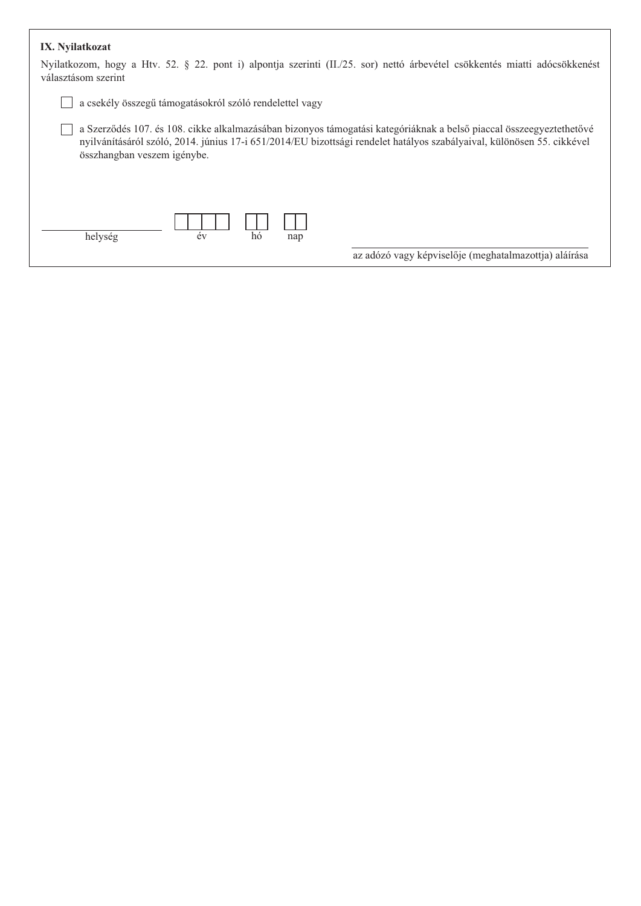## IX. Nyilatkozat

| Nyilatkozom, hogy a Htv. 52. § 22. pont i) alpontja szerinti (II./25. sor) nettó árbevétel csökkentés miatti adócsökkenést<br>választásom szerint                                                                                                                            |
|------------------------------------------------------------------------------------------------------------------------------------------------------------------------------------------------------------------------------------------------------------------------------|
| a csekély összegű támogatásokról szóló rendelettel vagy                                                                                                                                                                                                                      |
| a Szerződés 107. és 108. cikke alkalmazásában bizonyos támogatási kategóriáknak a belső piaccal összeegyeztethetővé<br>nyilvánításáról szóló, 2014. június 17-i 651/2014/EU bizottsági rendelet hatályos szabályaival, különösen 55. cikkével<br>összhangban veszem igénybe. |
| hó<br>év<br>helység<br>nap<br>az adózó vagy képviselője (meghatalmazottja) aláírása                                                                                                                                                                                          |